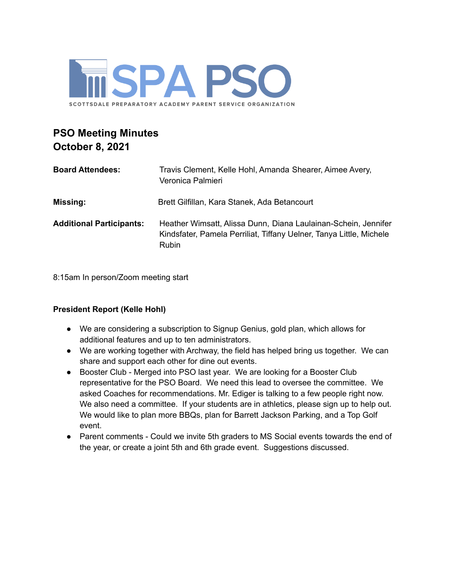

# **PSO Meeting Minutes October 8, 2021**

| <b>Board Attendees:</b>         | Travis Clement, Kelle Hohl, Amanda Shearer, Aimee Avery,<br>Veronica Palmieri                                                                         |
|---------------------------------|-------------------------------------------------------------------------------------------------------------------------------------------------------|
| <b>Missing:</b>                 | Brett Gilfillan, Kara Stanek, Ada Betancourt                                                                                                          |
| <b>Additional Participants:</b> | Heather Wimsatt, Alissa Dunn, Diana Laulainan-Schein, Jennifer<br>Kindsfater, Pamela Perriliat, Tiffany Uelner, Tanya Little, Michele<br><b>Rubin</b> |

8:15am In person/Zoom meeting start

## **President Report (Kelle Hohl)**

- We are considering a subscription to Signup Genius, gold plan, which allows for additional features and up to ten administrators.
- We are working together with Archway, the field has helped bring us together. We can share and support each other for dine out events.
- Booster Club Merged into PSO last year. We are looking for a Booster Club representative for the PSO Board. We need this lead to oversee the committee. We asked Coaches for recommendations. Mr. Ediger is talking to a few people right now. We also need a committee. If your students are in athletics, please sign up to help out. We would like to plan more BBQs, plan for Barrett Jackson Parking, and a Top Golf event.
- Parent comments Could we invite 5th graders to MS Social events towards the end of the year, or create a joint 5th and 6th grade event. Suggestions discussed.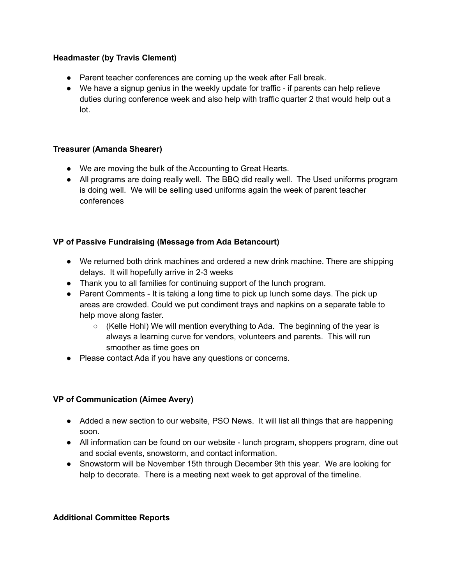### **Headmaster (by Travis Clement)**

- Parent teacher conferences are coming up the week after Fall break.
- We have a signup genius in the weekly update for traffic if parents can help relieve duties during conference week and also help with traffic quarter 2 that would help out a lot.

### **Treasurer (Amanda Shearer)**

- We are moving the bulk of the Accounting to Great Hearts.
- All programs are doing really well. The BBQ did really well. The Used uniforms program is doing well. We will be selling used uniforms again the week of parent teacher conferences

## **VP of Passive Fundraising (Message from Ada Betancourt)**

- We returned both drink machines and ordered a new drink machine. There are shipping delays. It will hopefully arrive in 2-3 weeks
- Thank you to all families for continuing support of the lunch program.
- Parent Comments It is taking a long time to pick up lunch some days. The pick up areas are crowded. Could we put condiment trays and napkins on a separate table to help move along faster.
	- $\circ$  (Kelle Hohl) We will mention everything to Ada. The beginning of the year is always a learning curve for vendors, volunteers and parents. This will run smoother as time goes on
- Please contact Ada if you have any questions or concerns.

## **VP of Communication (Aimee Avery)**

- Added a new section to our website, PSO News. It will list all things that are happening soon.
- All information can be found on our website lunch program, shoppers program, dine out and social events, snowstorm, and contact information.
- Snowstorm will be November 15th through December 9th this year. We are looking for help to decorate. There is a meeting next week to get approval of the timeline.

#### **Additional Committee Reports**